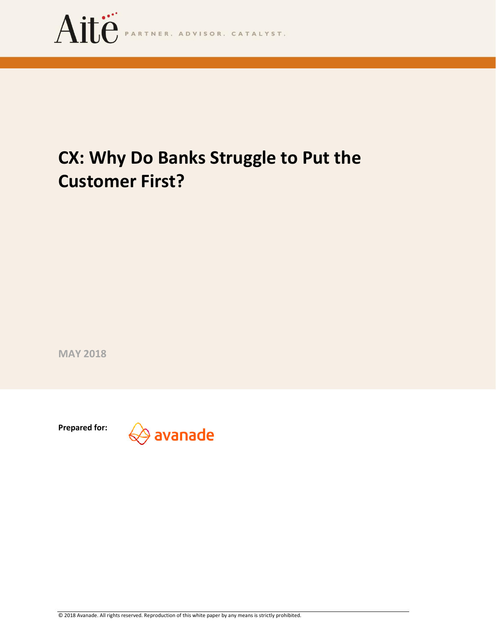

# **CX: Why Do Banks Struggle to Put the Customer First?**

**MAY 2018**

**Prepared for:**

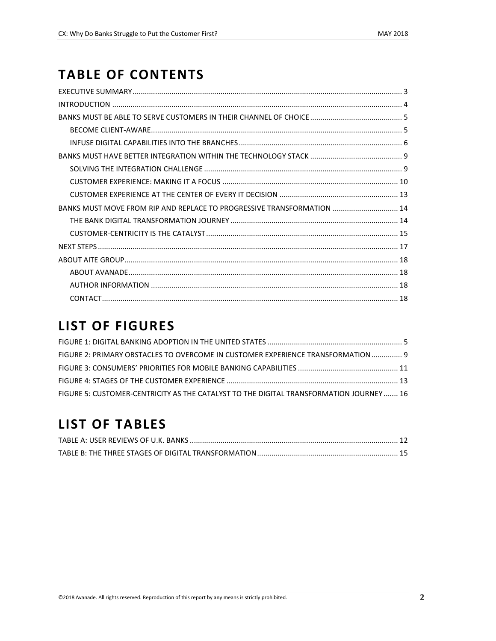## **TABLE OF CONTENTS**

| BANKS MUST MOVE FROM RIP AND REPLACE TO PROGRESSIVE TRANSFORMATION  14 |  |
|------------------------------------------------------------------------|--|
|                                                                        |  |
|                                                                        |  |
|                                                                        |  |
|                                                                        |  |
|                                                                        |  |
|                                                                        |  |
|                                                                        |  |

## **LIST OF FIGURES**

| FIGURE 2: PRIMARY OBSTACLES TO OVERCOME IN CUSTOMER EXPERIENCE TRANSFORMATION  9       |  |
|----------------------------------------------------------------------------------------|--|
|                                                                                        |  |
|                                                                                        |  |
| FIGURE 5: CUSTOMER-CENTRICITY AS THE CATALYST TO THE DIGITAL TRANSFORMATION JOURNEY 16 |  |

## **LIST OF TABLES**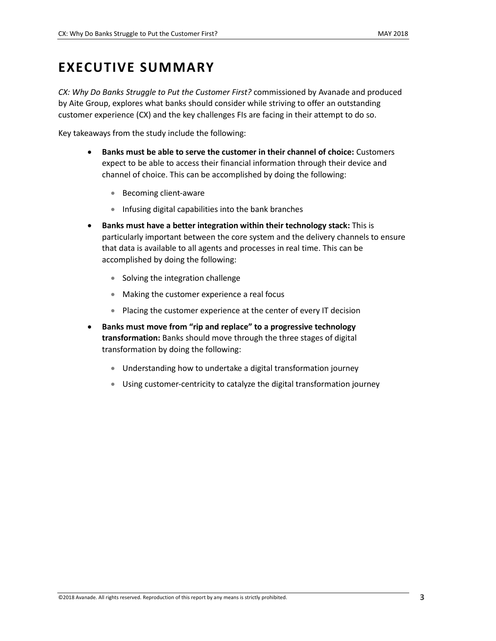## <span id="page-2-0"></span>**EXECUTIVE SUMMARY**

*CX: Why Do Banks Struggle to Put the Customer First?* commissioned by Avanade and produced by Aite Group, explores what banks should consider while striving to offer an outstanding customer experience (CX) and the key challenges FIs are facing in their attempt to do so.

Key takeaways from the study include the following:

- **Banks must be able to serve the customer in their channel of choice:** Customers expect to be able to access their financial information through their device and channel of choice. This can be accomplished by doing the following:
	- Becoming client-aware
	- Infusing digital capabilities into the bank branches
- **Banks must have a better integration within their technology stack:** This is particularly important between the core system and the delivery channels to ensure that data is available to all agents and processes in real time. This can be accomplished by doing the following:
	- Solving the integration challenge
	- Making the customer experience a real focus
	- Placing the customer experience at the center of every IT decision
- **Banks must move from "rip and replace" to a progressive technology transformation:** Banks should move through the three stages of digital transformation by doing the following:
	- Understanding how to undertake a digital transformation journey
	- Using customer-centricity to catalyze the digital transformation journey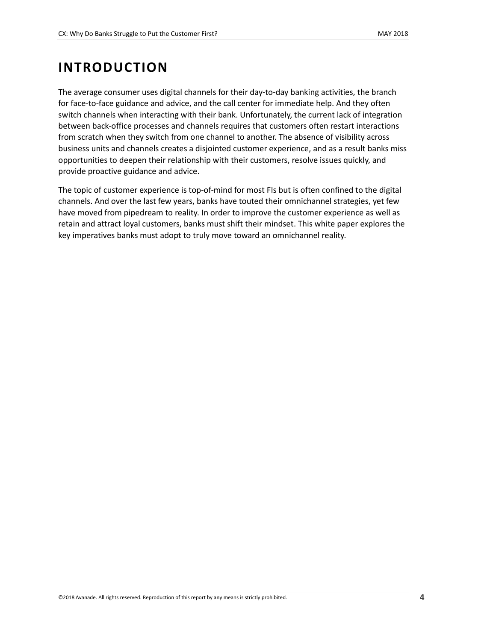## <span id="page-3-0"></span>**INTRODUCTION**

The average consumer uses digital channels for their day-to-day banking activities, the branch for face-to-face guidance and advice, and the call center for immediate help. And they often switch channels when interacting with their bank. Unfortunately, the current lack of integration between back-office processes and channels requires that customers often restart interactions from scratch when they switch from one channel to another. The absence of visibility across business units and channels creates a disjointed customer experience, and as a result banks miss opportunities to deepen their relationship with their customers, resolve issues quickly, and provide proactive guidance and advice.

The topic of customer experience is top-of-mind for most FIs but is often confined to the digital channels. And over the last few years, banks have touted their omnichannel strategies, yet few have moved from pipedream to reality. In order to improve the customer experience as well as retain and attract loyal customers, banks must shift their mindset. This white paper explores the key imperatives banks must adopt to truly move toward an omnichannel reality.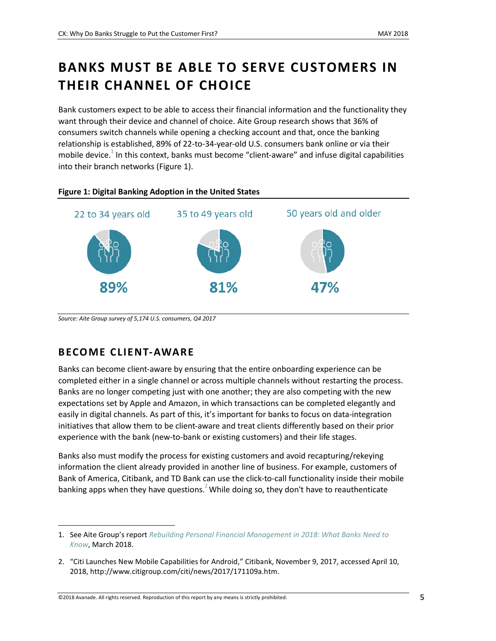## <span id="page-4-0"></span>**BANKS MUST BE ABLE TO SERVE CUSTOMERS IN THEIR CHANNEL OF CHOICE**

Bank customers expect to be able to access their financial information and the functionality they want through their device and channel of choice. Aite Group research shows that 36% of consumers switch channels while opening a checking account and that, once the banking relationship is established, 89% of 22-to-34-year-old U.S. consumers bank online or via their mobile device.<sup>1</sup> In this context, banks must become "client-aware" and infuse digital capabilities into their branch networks [\(Figure 1\)](#page-4-2).

<span id="page-4-2"></span>

*Source: Aite Group survey of 5,174 U.S. consumers, Q4 2017*

### <span id="page-4-1"></span>**B ECOME CLIENT-AWARE**

 $\overline{\phantom{a}}$ 

Banks can become client-aware by ensuring that the entire onboarding experience can be completed either in a single channel or across multiple channels without restarting the process. Banks are no longer competing just with one another; they are also competing with the new expectations set by Apple and Amazon, in which transactions can be completed elegantly and easily in digital channels. As part of this, it's important for banks to focus on data-integration initiatives that allow them to be client-aware and treat clients differently based on their prior experience with the bank (new-to-bank or existing customers) and their life stages.

Banks also must modify the process for existing customers and avoid recapturing/rekeying information the client already provided in another line of business. For example, customers of Bank of America, Citibank, and TD Bank can use the click-to-call functionality inside their mobile banking apps when they have questions.<sup>2</sup> While doing so, they don't have to reauthenticate

<sup>1.</sup> See Aite Group's report *[Rebuilding Personal Financial Management in 2018: What Banks Need to](https://www.aitegroup.com/report/rebuilding-personal-financial-management-2018-what-banks-need-know)  [Know](https://www.aitegroup.com/report/rebuilding-personal-financial-management-2018-what-banks-need-know)*, March 2018.

<sup>2.</sup> "Citi Launches New Mobile Capabilities for Android," Citibank, November 9, 2017, accessed April 10, 2018, http://www.citigroup.com/citi/news/2017/171109a.htm.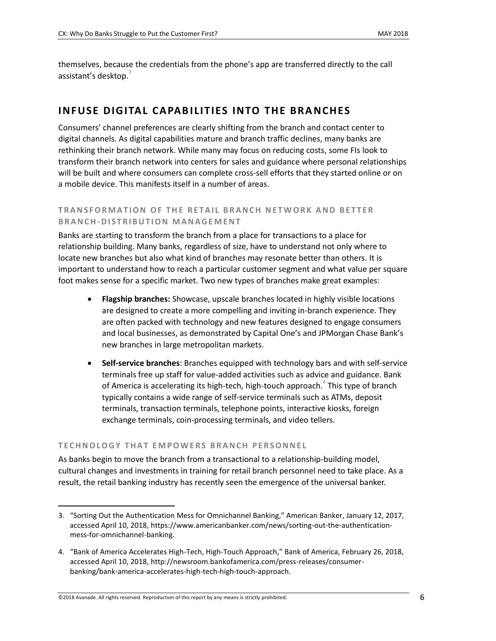themselves, because the credentials from the phone's app are transferred directly to the call assistant's desktop.<sup>3</sup>

### <span id="page-5-0"></span>**INF USE DIG ITAL CAPABILITIES INTO THE BRANCHES**

Consumers' channel preferences are clearly shifting from the branch and contact center to digital channels. As digital capabilities mature and branch traffic declines, many banks are rethinking their branch network. While many may focus on reducing costs, some FIs look to transform their branch network into centers for sales and guidance where personal relationships will be built and where consumers can complete cross-sell efforts that they started online or on a mobile device. This manifests itself in a number of areas.

### **TRANSFORMATION OF THE RETAIL BRANCH NETWORK AND BETTER B R A N C H-D I S T R I B U T I O N M A N A G E M E N T**

Banks are starting to transform the branch from a place for transactions to a place for relationship building. Many banks, regardless of size, have to understand not only where to locate new branches but also what kind of branches may resonate better than others. It is important to understand how to reach a particular customer segment and what value per square foot makes sense for a specific market. Two new types of branches make great examples:

- **Flagship branches:** Showcase, upscale branches located in highly visible locations are designed to create a more compelling and inviting in-branch experience. They are often packed with technology and new features designed to engage consumers and local businesses, as demonstrated by Capital One's and JPMorgan Chase Bank's new branches in large metropolitan markets.
- **Self-service branches**: Branches equipped with technology bars and with self-service terminals free up staff for value-added activities such as advice and guidance. Bank of America is accelerating its high-tech, high-touch approach. $^4$  This type of branch typically contains a wide range of self-service terminals such as ATMs, deposit terminals, transaction terminals, telephone points, interactive kiosks, foreign exchange terminals, coin-processing terminals, and video tellers.

#### **T E C H N O L O G Y T H A T E M P O W E R S B R A N C H P E R S O N N E L**

As banks begin to move the branch from a transactional to a relationship-building model, cultural changes and investments in training for retail branch personnel need to take place. As a result, the retail banking industry has recently seen the emergence of the universal banker.

<sup>3.</sup> "Sorting Out the Authentication Mess for Omnichannel Banking," American Banker, January 12, 2017, accessed April 10, 2018, https://www.americanbanker.com/news/sorting-out-the-authenticationmess-for-omnichannel-banking.

<sup>4.</sup> "Bank of America Accelerates High-Tech, High-Touch Approach," Bank of America, February 26, 2018, accessed April 10, 2018, http://newsroom.bankofamerica.com/press-releases/consumerbanking/bank-america-accelerates-high-tech-high-touch-approach.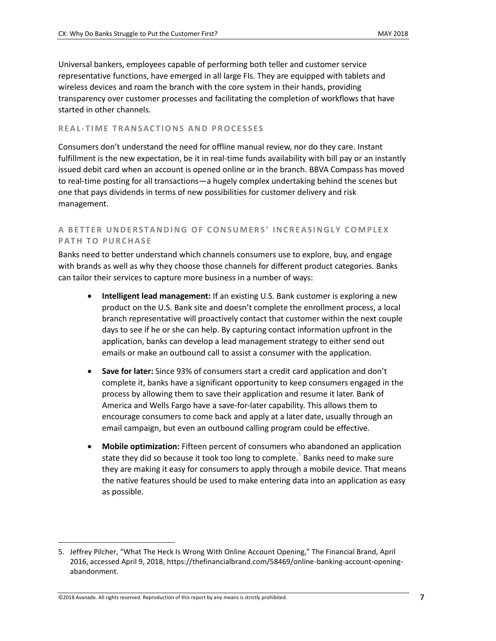Universal bankers, employees capable of performing both teller and customer service representative functions, have emerged in all large FIs. They are equipped with tablets and wireless devices and roam the branch with the core system in their hands, providing transparency over customer processes and facilitating the completion of workflows that have started in other channels.

#### **REAL-TIME TRANSACTIONS AND PROCESSES**

Consumers don't understand the need for offline manual review, nor do they care. Instant fulfillment is the new expectation, be it in real-time funds availability with bill pay or an instantly issued debit card when an account is opened online or in the branch. BBVA Compass has moved to real-time posting for all transactions—a hugely complex undertaking behind the scenes but one that pays dividends in terms of new possibilities for customer delivery and risk management.

### **A B E T T E R U N D E R S T A N DI N G O F C O N S U M E R S ' I N C R E A S I N G L Y C O M P L E X PATH TO PURCHASE**

Banks need to better understand which channels consumers use to explore, buy, and engage with brands as well as why they choose those channels for different product categories. Banks can tailor their services to capture more business in a number of ways:

- **Intelligent lead management:** If an existing U.S. Bank customer is exploring a new product on the U.S. Bank site and doesn't complete the enrollment process, a local branch representative will proactively contact that customer within the next couple days to see if he or she can help. By capturing contact information upfront in the application, banks can develop a lead management strategy to either send out emails or make an outbound call to assist a consumer with the application.
- **Save for later:** Since 93% of consumers start a credit card application and don't complete it, banks have a significant opportunity to keep consumers engaged in the process by allowing them to save their application and resume it later. Bank of America and Wells Fargo have a save-for-later capability. This allows them to encourage consumers to come back and apply at a later date, usually through an email campaign, but even an outbound calling program could be effective.
- **Mobile optimization:** Fifteen percent of consumers who abandoned an application state they did so because it took too long to complete.<sup>5</sup> Banks need to make sure they are making it easy for consumers to apply through a mobile device. That means the native features should be used to make entering data into an application as easy as possible.

<sup>5.</sup> Jeffrey Pilcher, "What The Heck Is Wrong With Online Account Opening," The Financial Brand, April 2016, accessed April 9, 2018, https://thefinancialbrand.com/58469/online-banking-account-openingabandonment.

<sup>©2018</sup> Avanade. All rights reserved. Reproduction of this report by any means is strictly prohibited. **7**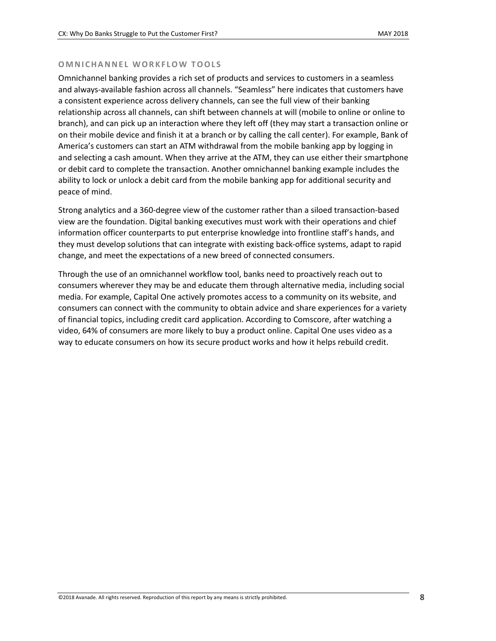#### **OMNICHANNEL WORKFLOW TOOLS**

Omnichannel banking provides a rich set of products and services to customers in a seamless and always-available fashion across all channels. "Seamless" here indicates that customers have a consistent experience across delivery channels, can see the full view of their banking relationship across all channels, can shift between channels at will (mobile to online or online to branch), and can pick up an interaction where they left off (they may start a transaction online or on their mobile device and finish it at a branch or by calling the call center). For example, Bank of America's customers can start an ATM withdrawal from the mobile banking app by logging in and selecting a cash amount. When they arrive at the ATM, they can use either their smartphone or debit card to complete the transaction. Another omnichannel banking example includes the ability to lock or unlock a debit card from the mobile banking app for additional security and peace of mind.

Strong analytics and a 360-degree view of the customer rather than a siloed transaction-based view are the foundation. Digital banking executives must work with their operations and chief information officer counterparts to put enterprise knowledge into frontline staff's hands, and they must develop solutions that can integrate with existing back-office systems, adapt to rapid change, and meet the expectations of a new breed of connected consumers.

Through the use of an omnichannel workflow tool, banks need to proactively reach out to consumers wherever they may be and educate them through alternative media, including social media. For example, Capital One actively promotes access to a community on its website, and consumers can connect with the community to obtain advice and share experiences for a variety of financial topics, including credit card application. According to Comscore, after watching a video, 64% of consumers are more likely to buy a product online. Capital One uses video as a way to educate consumers on how its secure product works and how it helps rebuild credit.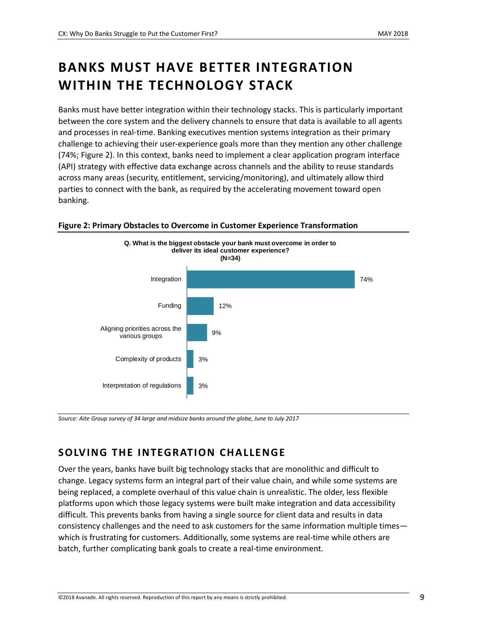## <span id="page-8-0"></span>**BANKS MUST HAVE BETTER INTEGRATION WITHIN THE TECHNOLOGY STACK**

Banks must have better integration within their technology stacks. This is particularly important between the core system and the delivery channels to ensure that data is available to all agents and processes in real-time. Banking executives mention systems integration as their primary challenge to achieving their user-experience goals more than they mention any other challenge (74%; Figure 2). In this context, banks need to implement a clear application program interface (API) strategy with effective data exchange across channels and the ability to reuse standards across many areas (security, entitlement, servicing/monitoring), and ultimately allow third parties to connect with the bank, as required by the accelerating movement toward open banking.



#### <span id="page-8-2"></span>**Figure 2: Primary Obstacles to Overcome in Customer Experience Transformation**

*Source: Aite Group survey of 34 large and midsize banks around the globe, June to July 2017*

### <span id="page-8-1"></span>**SOLVING THE INTEGRATION CHALLENGE**

Over the years, banks have built big technology stacks that are monolithic and difficult to change. Legacy systems form an integral part of their value chain, and while some systems are being replaced, a complete overhaul of this value chain is unrealistic. The older, less flexible platforms upon which those legacy systems were built make integration and data accessibility difficult. This prevents banks from having a single source for client data and results in data consistency challenges and the need to ask customers for the same information multiple times which is frustrating for customers. Additionally, some systems are real-time while others are batch, further complicating bank goals to create a real-time environment.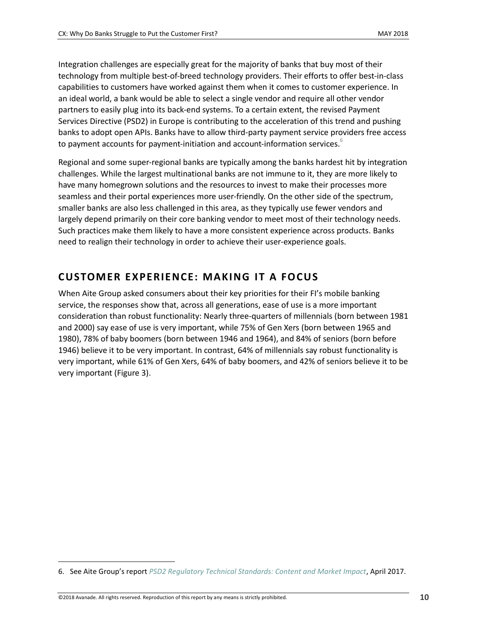Integration challenges are especially great for the majority of banks that buy most of their technology from multiple best-of-breed technology providers. Their efforts to offer best-in-class capabilities to customers have worked against them when it comes to customer experience. In an ideal world, a bank would be able to select a single vendor and require all other vendor partners to easily plug into its back-end systems. To a certain extent, the revised Payment Services Directive (PSD2) in Europe is contributing to the acceleration of this trend and pushing banks to adopt open APIs. Banks have to allow third-party payment service providers free access to payment accounts for payment-initiation and account-information services.

Regional and some super-regional banks are typically among the banks hardest hit by integration challenges. While the largest multinational banks are not immune to it, they are more likely to have many homegrown solutions and the resources to invest to make their processes more seamless and their portal experiences more user-friendly. On the other side of the spectrum, smaller banks are also less challenged in this area, as they typically use fewer vendors and largely depend primarily on their core banking vendor to meet most of their technology needs. Such practices make them likely to have a more consistent experience across products. Banks need to realign their technology in order to achieve their user-experience goals.

### <span id="page-9-0"></span>**CUSTOMER EXPERIENCE: MAKING IT A FOCUS**

When Aite Group asked consumers about their key priorities for their FI's mobile banking service, the responses show that, across all generations, ease of use is a more important consideration than robust functionality: Nearly three-quarters of millennials (born between 1981 and 2000) say ease of use is very important, while 75% of Gen Xers (born between 1965 and 1980), 78% of baby boomers (born between 1946 and 1964), and 84% of seniors (born before 1946) believe it to be very important. In contrast, 64% of millennials say robust functionality is very important, while 61% of Gen Xers, 64% of baby boomers, and 42% of seniors believe it to be very important [\(Figure 3\)](#page-10-0).

<sup>6.</sup> See Aite Group's report *[PSD2 Regulatory Technical Standards: Content and Market Impact](https://www.aitegroup.com/report/psd2-regulatory-technical-standards-content-and-market-impact)*, April 2017.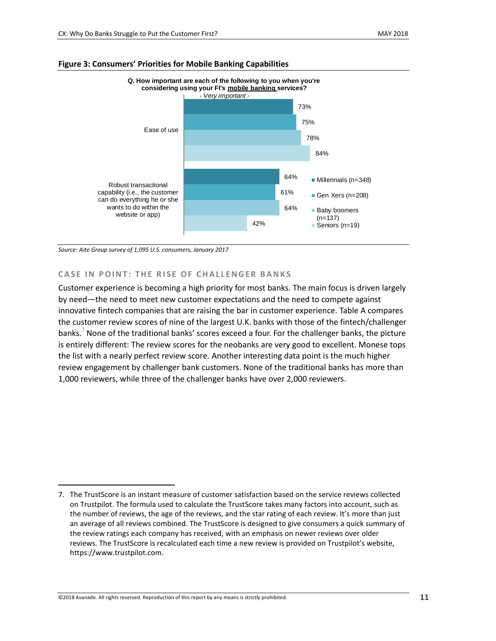

#### <span id="page-10-0"></span>**Figure 3: Consumers' Priorities for Mobile Banking Capabilities**

*Source: Aite Group survey of 1,095 U.S. consumers, January 2017*

 $\overline{\phantom{a}}$ 

#### **CASE IN POINT: THE RISE OF CHALLENGER BANKS**

Customer experience is becoming a high priority for most banks. The main focus is driven largely by need—the need to meet new customer expectations and the need to compete against innovative fintech companies that are raising the bar in customer experience. Table A compares the customer review scores of nine of the largest U.K. banks with those of the fintech/challenger banks.<sup>7</sup> None of the traditional banks' scores exceed a four. For the challenger banks, the picture is entirely different: The review scores for the neobanks are very good to excellent. Monese tops the list with a nearly perfect review score. Another interesting data point is the much higher review engagement by challenger bank customers. None of the traditional banks has more than 1,000 reviewers, while three of the challenger banks have over 2,000 reviewers.

<sup>7.</sup> The TrustScore is an instant measure of customer satisfaction based on the service reviews collected on Trustpilot. The formula used to calculate the TrustScore takes many factors into account, such as the number of reviews, the age of the reviews, and the star rating of each review. It's more than just an average of all reviews combined. The TrustScore is designed to give consumers a quick summary of the review ratings each company has received, with an emphasis on newer reviews over older reviews. The TrustScore is recalculated each time a new review is provided on Trustpilot's website, https://www.trustpilot.com.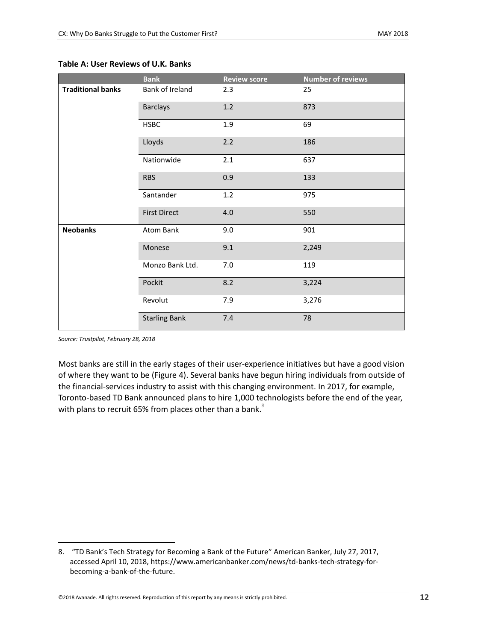|                          | <b>Bank</b>          | <b>Review score</b> | <b>Number of reviews</b> |
|--------------------------|----------------------|---------------------|--------------------------|
| <b>Traditional banks</b> | Bank of Ireland      | 2.3                 | 25                       |
|                          | <b>Barclays</b>      | 1.2                 | 873                      |
|                          | <b>HSBC</b>          | 1.9                 | 69                       |
|                          | Lloyds               | 2.2                 | 186                      |
|                          | Nationwide           | 2.1                 | 637                      |
|                          | <b>RBS</b>           | 0.9                 | 133                      |
|                          | Santander            | 1.2                 | 975                      |
|                          | <b>First Direct</b>  | 4.0                 | 550                      |
| <b>Neobanks</b>          | Atom Bank            | 9.0                 | 901                      |
|                          | Monese               | 9.1                 | 2,249                    |
|                          | Monzo Bank Ltd.      | 7.0                 | 119                      |
|                          | Pockit               | 8.2                 | 3,224                    |
|                          | Revolut              | 7.9                 | 3,276                    |
|                          | <b>Starling Bank</b> | 7.4                 | 78                       |

#### <span id="page-11-0"></span>**Table A: User Reviews of U.K. Banks**

*Source: Trustpilot, February 28, 2018*

 $\overline{\phantom{a}}$ 

Most banks are still in the early stages of their user-experience initiatives but have a good vision of where they want to be [\(Figure 4\)](#page-12-1). Several banks have begun hiring individuals from outside of the financial-services industry to assist with this changing environment. In 2017, for example, Toronto-based TD Bank announced plans to hire 1,000 technologists before the end of the year, with plans to recruit 65% from places other than a bank. $^8$ 

<sup>8.</sup> "TD Bank's Tech Strategy for Becoming a Bank of the Future" American Banker, July 27, 2017, accessed April 10, 2018, https://www.americanbanker.com/news/td-banks-tech-strategy-forbecoming-a-bank-of-the-future.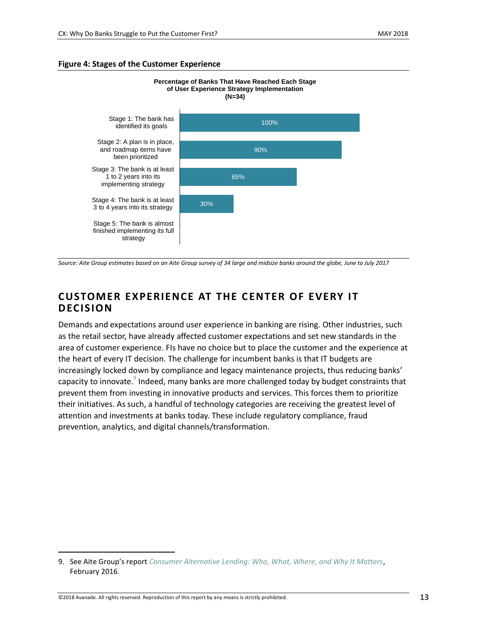#### <span id="page-12-1"></span>**Figure 4: Stages of the Customer Experience**



*Source: Aite Group estimates based on an Aite Group survey of 34 large and midsize banks around the globe, June to July 2017*

### <span id="page-12-0"></span>**CUSTOMER EXPERIENCE AT THE CENTER OF EVERY IT D ECISION**

Demands and expectations around user experience in banking are rising. Other industries, such as the retail sector, have already affected customer expectations and set new standards in the area of customer experience. FIs have no choice but to place the customer and the experience at the heart of every IT decision. The challenge for incumbent banks is that IT budgets are increasingly locked down by compliance and legacy maintenance projects, thus reducing banks' capacity to innovate. $^\circ$  Indeed, many banks are more challenged today by budget constraints that prevent them from investing in innovative products and services. This forces them to prioritize their initiatives. As such, a handful of technology categories are receiving the greatest level of attention and investments at banks today. These include regulatory compliance, fraud prevention, analytics, and digital channels/transformation.

<sup>9.</sup> See Aite Group's report *[Consumer Alternative Lending: Who, What, Where, and Why It Matters](https://aitegroup.com/report/consumer-alternative-lending-who-what-where-and-why-it-matters)*, February 2016.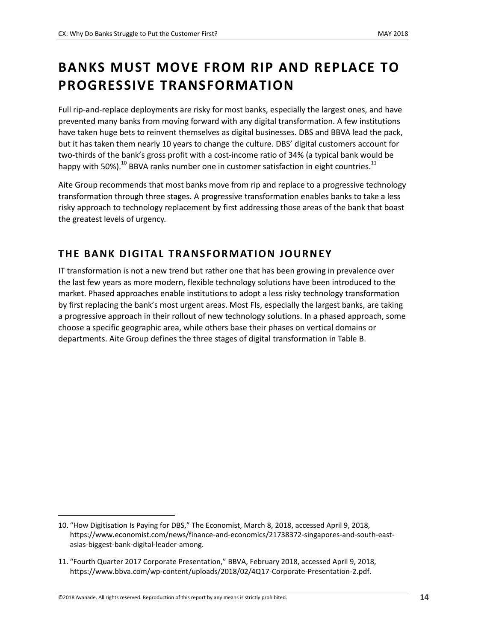## <span id="page-13-0"></span>**BANKS MUST MOVE FROM RIP AND REPLACE TO PROGRESSIVE TRANSFORMATION**

Full rip-and-replace deployments are risky for most banks, especially the largest ones, and have prevented many banks from moving forward with any digital transformation. A few institutions have taken huge bets to reinvent themselves as digital businesses. DBS and BBVA lead the pack, but it has taken them nearly 10 years to change the culture. DBS' digital customers account for two-thirds of the bank's gross profit with a cost-income ratio of 34% (a typical bank would be happy with 50%). $^{10}$  BBVA ranks number one in customer satisfaction in eight countries. $^{11}$ 

Aite Group recommends that most banks move from rip and replace to a progressive technology transformation through three stages. A progressive transformation enables banks to take a less risky approach to technology replacement by first addressing those areas of the bank that boast the greatest levels of urgency.

### <span id="page-13-1"></span>**THE BANK D IGITAL TRANSFORMATION JOURNEY**

IT transformation is not a new trend but rather one that has been growing in prevalence over the last few years as more modern, flexible technology solutions have been introduced to the market. Phased approaches enable institutions to adopt a less risky technology transformation by first replacing the bank's most urgent areas. Most FIs, especially the largest banks, are taking a progressive approach in their rollout of new technology solutions. In a phased approach, some choose a specific geographic area, while others base their phases on vertical domains or departments. Aite Group defines the three stages of digital transformation in [Table B.](#page-14-1)

<sup>10.</sup> "How Digitisation Is Paying for DBS," The Economist, March 8, 2018, accessed April 9, 2018, https://www.economist.com/news/finance-and-economics/21738372-singapores-and-south-eastasias-biggest-bank-digital-leader-among.

<sup>11.</sup> "Fourth Quarter 2017 Corporate Presentation," BBVA, February 2018, accessed April 9, 2018, https://www.bbva.com/wp-content/uploads/2018/02/4Q17-Corporate-Presentation-2.pdf.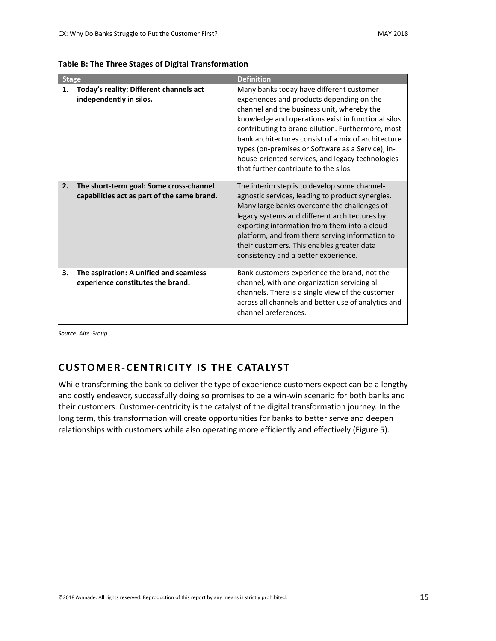| <b>Stage</b> |                                                                                        | <b>Definition</b>                                                                                                                                                                                                                                                                                                                                                                                                                                       |
|--------------|----------------------------------------------------------------------------------------|---------------------------------------------------------------------------------------------------------------------------------------------------------------------------------------------------------------------------------------------------------------------------------------------------------------------------------------------------------------------------------------------------------------------------------------------------------|
| 1.           | Today's reality: Different channels act<br>independently in silos.                     | Many banks today have different customer<br>experiences and products depending on the<br>channel and the business unit, whereby the<br>knowledge and operations exist in functional silos<br>contributing to brand dilution. Furthermore, most<br>bank architectures consist of a mix of architecture<br>types (on-premises or Software as a Service), in-<br>house-oriented services, and legacy technologies<br>that further contribute to the silos. |
| 2.           | The short-term goal: Some cross-channel<br>capabilities act as part of the same brand. | The interim step is to develop some channel-<br>agnostic services, leading to product synergies.<br>Many large banks overcome the challenges of<br>legacy systems and different architectures by<br>exporting information from them into a cloud<br>platform, and from there serving information to<br>their customers. This enables greater data<br>consistency and a better experience.                                                               |
| З.           | The aspiration: A unified and seamless<br>experience constitutes the brand.            | Bank customers experience the brand, not the<br>channel, with one organization servicing all<br>channels. There is a single view of the customer<br>across all channels and better use of analytics and<br>channel preferences.                                                                                                                                                                                                                         |

<span id="page-14-1"></span>

|  |  |  | Table B: The Three Stages of Digital Transformation |
|--|--|--|-----------------------------------------------------|
|--|--|--|-----------------------------------------------------|

*Source: Aite Group*

### <span id="page-14-0"></span>**CUSTOMER-CENTRICITY IS THE CATALYST**

While transforming the bank to deliver the type of experience customers expect can be a lengthy and costly endeavor, successfully doing so promises to be a win-win scenario for both banks and their customers. Customer-centricity is the catalyst of the digital transformation journey. In the long term, this transformation will create opportunities for banks to better serve and deepen relationships with customers while also operating more efficiently and effectively [\(Figure 5\)](#page-15-0).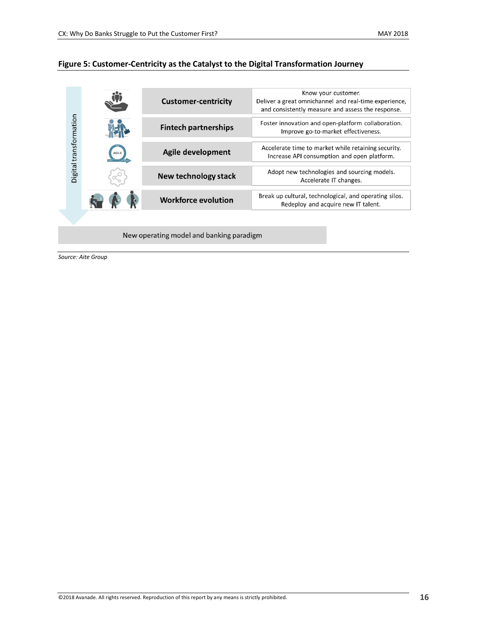#### <span id="page-15-0"></span>**Figure 5: Customer-Centricity as the Catalyst to the Digital Transformation Journey**



New operating model and banking paradigm

*Source: Aite Group*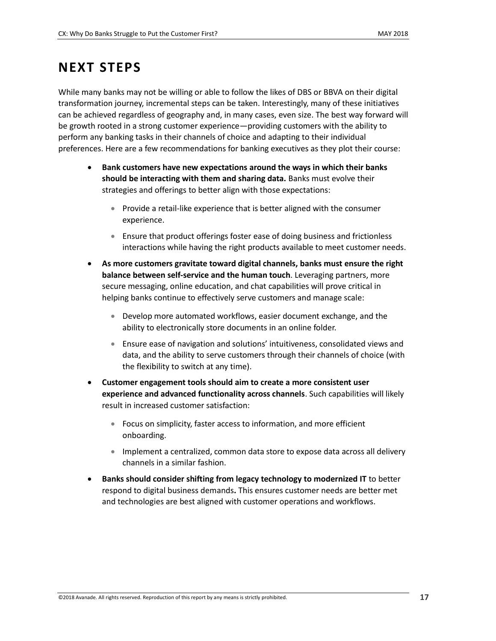## <span id="page-16-0"></span>**NEXT STEPS**

While many banks may not be willing or able to follow the likes of DBS or BBVA on their digital transformation journey, incremental steps can be taken. Interestingly, many of these initiatives can be achieved regardless of geography and, in many cases, even size. The best way forward will be growth rooted in a strong customer experience—providing customers with the ability to perform any banking tasks in their channels of choice and adapting to their individual preferences. Here are a few recommendations for banking executives as they plot their course:

- **Bank customers have new expectations around the ways in which their banks should be interacting with them and sharing data.** Banks must evolve their strategies and offerings to better align with those expectations:
	- Provide a retail-like experience that is better aligned with the consumer experience.
	- Ensure that product offerings foster ease of doing business and frictionless interactions while having the right products available to meet customer needs.
- **As more customers gravitate toward digital channels, banks must ensure the right balance between self-service and the human touch**. Leveraging partners, more secure messaging, online education, and chat capabilities will prove critical in helping banks continue to effectively serve customers and manage scale:
	- Develop more automated workflows, easier document exchange, and the ability to electronically store documents in an online folder.
	- Ensure ease of navigation and solutions' intuitiveness, consolidated views and data, and the ability to serve customers through their channels of choice (with the flexibility to switch at any time).
- **Customer engagement tools should aim to create a more consistent user experience and advanced functionality across channels**. Such capabilities will likely result in increased customer satisfaction:
	- Focus on simplicity, faster access to information, and more efficient onboarding.
	- Implement a centralized, common data store to expose data across all delivery channels in a similar fashion.
- **Banks should consider shifting from legacy technology to modernized IT** to better respond to digital business demands**.** This ensures customer needs are better met and technologies are best aligned with customer operations and workflows.